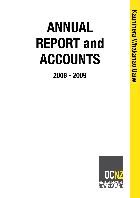# **ANNUAL REPORT and ACCOUNTS**

**2008 - 2009**

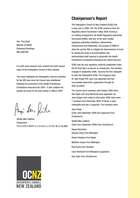Hon. Tony Ryall Minister of Health Parliament Buildings WELLINGTON

It is with much pleasure that I present the fourth annual report of the Osteopathic Council of New Zealand.

This report highlights the Osteopathic Council's activities for the fifth year since the Council was established following the enactment of the Health Practitioners Competence Assurance Act 2003. It also contains the audited accounts for the year ending 31 March 2009.

Angi hn file

Stiofán Mac Suibhne Chairperson TH E O STE O PATH I C C O U N C I L O F N E W Z E ALAND

## **Chairperson's Report**

The Osteopathic Council of New Zealand (OCNZ) had a busy year in 2008 / 09. The OCNZ moved on from the Regulatory Board Secretariat in May 2008, forming a co-hosting arrangement, the Health Regulatory Authorities Secretariat (HRAS), with four of the other smaller regulatory authorities (Dietitians, Optometrists, Chiropractors and Podiatrists). The purpose of HRAS to allow the partner RAs to mitigate the diseconomies of scale by sharing the costs of accommodation and administration staff required to administer the Health Practitioners Competence Assurance Act (2003) (the Act).

OCNZ was the only regulatory authority established under the Act that had a consumer as chairperson. This situation changed in September 2008, I became the first osteopath to chair the Osteopathic OCNZ. The inaugural chair, Dr Jean Drage PhD, was a lay appointee and had successfully steered the organisation through its start-up phase.

The Council had 6 members until October 2008 when Dee Taylor and Caryl Blomkvist were appointed. As Jean Drage's term ended in December 2008, there were 7 members from December 2008. Of these, 6 were osteopaths and one a Layperson. The members were:

Jean Drage (Chair until September 2008 and Layperson) from **Christchurch** 

Stiofán Mac Suibhne (Chair from September 2008) from Christchurch Deepa Ranchhod (Deputy Chair) from Wellington Sharon Awatere from Napier Matthew Cooper from Wellington Paul Hume from Hamilton Caryl Blomkvist from Wanganui (Layperson) Dee Taylor from Christchurch

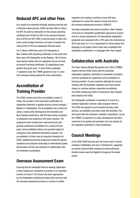## **Reduced APC and other Fees**

As a result of an extensive strategic planning exercise and a financial review process, OCNZ has been able to reduce the APC fee paid by osteopaths for the annual practising certificate from \$1000 (ex GST) in the previous financial year to \$750 (ex GST). With a reserves policy in place and some careful budget decisions, we hope to maintain the reduced fee for the two subsequent financial years.

On 31 March 2009 there were 376 Osteopaths in New Zealand with practising certificates. At the same time there were 522 Osteopaths on the Register, 146 of whom were inactive (those who are registered, but do not have an Annual Practising Certificate). 32 registrations were granted during the year; 12 were Unitec graduates, 7 registered under the TTMRA agreement and 13 came from overseas having passed the entry examination.

# **Accreditation of Training Provider**

The OCNZ carried out its first accreditation review of Unitec, the provider of the prescribed qualification for registration (Bachelor in applied science (human biology) / Master's in Osteopathy). The accreditation was carried out using a model jointly developed by the Australian and New Zealand jurisdictions, with the team being composed of osteopaths and academics from both countries. The programme had recently been restructured and was granted conditional accreditation for a period of three years, full accreditation status to be granted subject to compliance with additional information requests. The accreditation of Unitec was an important milestone for OCNZ, establishing that the programme meets the agreed standards and compares favourably to international quality benchmarks and this was achieved in collaboration with our Australian counterparts.

## **Overseas Assessment Exam**

Ensuring that all osteopaths that are seeking registration in New Zealand are competent to practise is an important function of Council. The Council has been approached by the Osteopathic professional bodies with concerns that the overseas assessment process is a barrier to skilled

migration and creating a workforce issue. We have undertaken to review the rational, format and cost of the overseas assessment process in 2009/10.

Overseas osteopaths who wish to practise in New Zealand must have an osteopathic qualification approved by Council and sit a clinical assessment. 20 international osteopathic graduates were assessed with a 70% pass rate. Achieving an IELTS test score of 7.5 is a requirement for those whose first language is not English and/or those who completed their osteopathic qualification in a language other than English.

## **Collaboration with Australia**

The Trans-Tasman Mutual Recognition Act (1997) (TTMRA) requires that the OCNZ works with the Australian osteopathic regulatory authorities on standards in practice, common standards for registration and accreditation of training providers. Council members attended the annual meeting with the Australian regulators and have worked closely on common policies, especially accreditation. The 2008 meeting was held in Christchurch, New Zealand and hosted by the OCNZ.

The Osteopathic profession in Australia is to move to a national registration scheme under proposed reforms. The OCNZ has agreed to work towards forming a joint advisory, accreditation and policy body with Australia. This will ensure that the profession maintains 'equivalency' as per the TTMRA. Co-operation on policy development will allow resources to be pooled and synergies and cost savings for the regulatory authorities in both jurisdictions.

# **Council Meetings**

In the 2008-2009 financial year the Council had 4 Council meetings in Wellington and one in Christchurch, supported by several subcommittee meetings (by teleconference). Annette Instone was the Registrar throughout the whole period.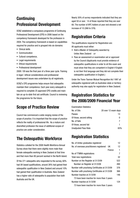# **Continuing Professional Development**

OCNZ established a compulsory programme of Continuing Professional Development (CPD) in 2006 based on the competency framework developed for the profession in 2004. The competency framework is based on capabilities required for practice and is grouped into six domains:

- Clinical skills
- • Communication
- Cultural competence,
- • Legal requirements
- Ethical requirements
- • Professional development

2008 / 09 was the final year of a three year cycle. Training in legal / ethical considerations and professional development issues was undertaken by all registrants.

OCNZ's CPD programme helps ensure that osteopaths maintain their competence. Each year every osteopath is required to complete 25 approved CPD credits and maintain an up-to-date first aid certificate. Council is reviewing the programme for the future.

# **Scope of Practice Review**

Council has commenced a wide ranging review of the scope of practice. It is important that the scope of practice reflects the reality of professional life. As a mature and diversified profession the issue of additional scopes of practice are under consideration.

# **The Osteopathic Workforce**

Statistics collated for the 2008 Health Workforce Annual Survey show that there were slightly more male than female osteopaths working in New Zealand at that time and that more than 80 percent worked in the North Island.

Of the 271 osteopaths who responded to the survey, 60% had UK based qualifications, around 26% had gained their osteopathic qualification in New Zealand and around 10% had gained their qualification in Australia. New Zealand has a higher ratio of osteopaths to population than both Australia and the UK.

Nearly 30% of survey respondents indicated that they are aged 50 or over. 14 of those reported that they are over 60. The number of APC holders at year end showed a net increase of 10 (366 to 376).

# **Registration Criteria**

The qualifications required for Registration are: All applicants must either:

- Hold a Master of Osteopathy awarded by Unitec New Zealand *or*
- Pass an assessment or examination set or approved by the Council (Applicants must provide evidence of osteopathic qualifications in order to sit this exam and must show that they are competent in English if English is not their first language and they did not complete their osteopathic qualification in English.)

Under the Trans-Tasman Mutual Recognition Act 1997 all osteopaths registered with an Australian state or territory authority may also apply for registration in New Zealand.

# **Registration Statistics for the 2008/2009 Financial Year**

| <b>Examination Statistics</b> |                      |
|-------------------------------|----------------------|
| No. of Sits                   | 20 over 12 exam days |
| Passes                        | 13                   |
| Of those, second sitting      |                      |
| No. of fails                  | 7                    |
| Of those, second fail         |                      |
| Unadjusted Pass Rate          | 65%                  |
|                               |                      |

## **Registration Statistics**

| No. of Unitec graduates registered             |        | 12  |
|------------------------------------------------|--------|-----|
| No. of overseas practitioners registered       | UK     | 12  |
|                                                | France | 1   |
| No of TTMRA registrations                      |        | 7   |
| Total new registrations                        |        | 32  |
| Number on the Register at 31/3/09              |        | 522 |
| Number on Register at 31/3/08                  |        | 490 |
| Number with practising Certificates at 31/3/09 |        | 376 |
| Number with practising Certificates at 31/3/08 |        | 366 |
| Number Inactive at 31/3/09                     |        | 146 |
| 73 have been inactive for more than 3 years    |        |     |
| Number Inactive at 31/3/08                     |        | 124 |
| 73 have been inactive for more than 3 years    |        |     |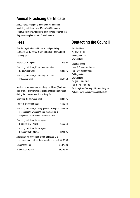## **Annual Practising Certificate**

All registered osteopaths must apply for an annual practising certificate by 31 March 2009 in order to continue practising. Applicants must provide evidence that they have complied with CPD requirements.

## **Fees**

Fees for registration and for an annual practising certificate for the period 1 April 2008 to 31 March 2009 including GST:

| Application to register                                              | \$675.00 |
|----------------------------------------------------------------------|----------|
| Practising certificate, if practising more than<br>10 hours per week | \$843.75 |
| Practising certificate, if practising 10 hours                       |          |
| or less per week                                                     | \$562.50 |

Application for an annual practising certificate (if not paid until after 31 March while holding a practising certificate during the previous year if practising for:

| More than 10 hours per week                                                                                                                                  | \$943.75   |
|--------------------------------------------------------------------------------------------------------------------------------------------------------------|------------|
| 10 hours or less per week                                                                                                                                    | \$662.50   |
| Practising certificate, if newly qualified osteopath \$421.85<br>(i.e. applicants who completed their course in<br>the period 1 April 2008 to 31 March 2009) |            |
| Practising certificate for part-year<br>1 October to 31 March                                                                                                | \$562.50   |
| Practising certificate for part-year<br>1 January to 31 March                                                                                                | \$281.25   |
| Application for recognition of non-approved CPD<br>undertaken more than three months previously \$100.00                                                     |            |
| <b>Examination Fee</b>                                                                                                                                       | \$3,375.00 |
| <b>Examination Review</b>                                                                                                                                    | \$1,125.00 |

# **Contacting the Council**

Postal Address: PO Box 10-140 Wellington 6143 New Zealand Street Address: Level 3, Freemason House, 195 – 201 Willis Street Wellington 6011 New Zealand Tel: [64 4] 474 0747 Fax: [64 4] 474 0709 Email: registrar@osteopathiccouncil.org.nz Website: www.osteopathiccouncil.org.nz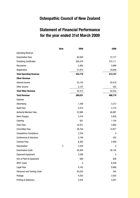# **Osteopathic Council of New Zealand**

# **Statement of Financial Performance for the year ended 31st March 2009**

|                                   | <b>Note</b> | 2009        | 2008    |
|-----------------------------------|-------------|-------------|---------|
| <b>Operating Revenue</b>          |             |             |         |
| <b>Examination Fees</b>           |             | 60,000      | 73,777  |
| <b>Practising Certificates</b>    |             | 256,279     | 315,111 |
| Recoveries                        |             | 5,465       | 5,669   |
| Registration                      |             | 21,975      | 18,600  |
| <b>Total Operating Revenue</b>    |             | 343,719     | 413,157 |
| <b>Other Revenue</b>              |             |             |         |
| Interest Income                   |             | 53,155      | 55,018  |
| Other Income                      |             | 2,157       | 535     |
| <b>Total Other Revenue</b>        |             | 55,312      | 55,553  |
| <b>Total Revenue</b>              |             | 399,031     | 468,710 |
| Expense                           |             |             |         |
| Advertising                       |             | 1,209       | 3,312   |
| <b>Audit Fees</b>                 |             | 2,912       | 2,710   |
| <b>Authority Member Fees</b>      |             | 23,980      | 48,887  |
| <b>Bank Charges</b>               |             | 5,474       | 5,830   |
| Catering                          |             | 851         | 1,104   |
| <b>Chair Fees</b>                 |             | 16,421      | 3,863   |
| <b>Committee Fees</b>             |             | 28,704      | 14,977  |
| <b>Competence Compliance</b>      |             | 2,254       | 0       |
| <b>Conferences &amp; Seminars</b> |             | 5,746       | 432     |
| <b>Contract Fees</b>              |             | 6,362       | 2,488   |
| Depreciation                      | $\mathbf 5$ | 3,329       | 0       |
| <b>Examination Costs</b>          |             | 58,494      | 38,140  |
| <b>Expensed Equipment</b>         |             | 2,298       | 0       |
| Hire of Plant & Equipment         |             | 689         | 836     |
| <b>HPDT Costs</b>                 |             | $\mathbf 0$ | 6,438   |
| <b>Legal Fees</b>                 |             | 8,162       | 9,868   |
| Personnel and Training Costs      |             | 65,033      | 542     |
| Postage                           |             | 4,053       | 2,935   |
| Printing & Stationery             |             | 5,970       | 5,037   |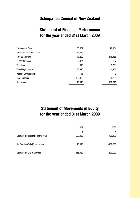# **Osteopathic Council of New Zealand**

# **Statement of Financial Performance for the year ended 31st March 2009**

| <b>Professional Fees</b>           | 35,502  | 22,164  |
|------------------------------------|---------|---------|
| <b>Secretariat Operating Costs</b> | 22,315  | 0       |
| <b>Service Charges</b>             | 43,290  | 115,455 |
| <b>Teleconferences</b>             | 2,074   | 867     |
| Telephone                          | 818     | 3,931   |
| <b>Travelling Expenses</b>         | 35,998  | 40,968  |
| Website Development                | 145     | 0       |
| <b>Total Expense</b>               | 382,083 | 330,784 |
| Net Income                         | 16,948  | 137,926 |

# **Statement of Movements in Equity for the year ended 31st March 2009**

|                                      | 2009    | 2008     |
|--------------------------------------|---------|----------|
|                                      | \$      | \$       |
| Equity at the beginning of the year: | 600,032 | 426,106  |
| Net Surplus/(Deficit) for the year:  | 16,948  | -137,936 |
| Equity at the end of the year:       | 616,980 | 600,032  |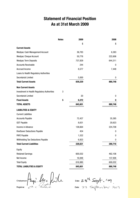# **Statement of Financial Position As at 31st March 2009**

|                                             | <b>Notes</b> | 2009    | 2008    |
|---------------------------------------------|--------------|---------|---------|
|                                             |              | \$      | \$      |
| <b>Current Assets</b>                       |              |         |         |
| Westpac Cash Management Account             |              | 36,783  | 6,383   |
| <b>Westpac Cheque Account</b>               |              | 50,776  | 222,606 |
| <b>Westpac Term Deposits</b>                |              | 737,829 | 644,311 |
| <b>Accounts Receivable</b>                  |              | 244     | 0       |
| Accrued Income                              |              | 8,577   | 7,448   |
| Loans to Health Regulatory Authorities      |              |         |         |
| Secretariat Limited                         |              | 5,000   | 0       |
| <b>Total Current Assets</b>                 |              | 839,229 | 880,748 |
| <b>Non Current Assets</b>                   |              |         |         |
| Investment in Health Regulatory Authorities | 3            |         |         |
| Secretariat Limited                         |              | 20      | 0       |
| <b>Fixed Assets</b>                         | 5            | 6,372   | 0       |
| <b>TOTAL ASSETS</b>                         |              | 845,601 | 880,748 |
| <b>LIABILITIES &amp; EQUITY</b>             |              |         |         |
| <b>Current Liabilities</b>                  |              |         |         |
| <b>Accounts Payable</b>                     |              | 72,427  | 35,385  |
| <b>GST Payable</b>                          |              | 8,631   | 20,623  |
| Income in Advance                           |              | 138,664 | 224,708 |
| KiwiSaver Deductions Payable                |              | 454     | 0       |
| PAYE Payable                                |              | 1,522   | 0       |
| Withholding Tax Deductions Payable          |              | 6,923   | 0       |
| Total Current Liabilities                   |              | 228,621 | 280,716 |
| Equity                                      |              |         |         |
| <b>Retained Earnings</b>                    |              | 600,032 | 462,106 |
| Net Income                                  |              | 16,948  | 137,926 |
| <b>Total Equity</b>                         |              | 616,980 | 600,032 |
| <b>TOTAL LIABILITIES &amp; EQUITY</b>       |              | 845,601 | 880,748 |

Chairperson: Plaga. Mac Puile

Date: 28th Sept. 109.<br>Date: 28 September 2009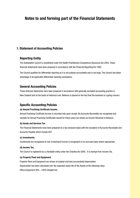## **Notes to and forming part of the Financial Statements**

## **1. Statement of Accounting Policies**

## **Reporting Entity**

The Osteopathic Council is constituted under the Health Practitioners Competence Assurance Act 2003. These financial statements have been prepared in accordance with the Financial Reporting Act 1993.

The Council qualifies for differential reporting as it is not publicly accountable and is not large. The Council has taken advantage of all applicable differential reporting exemptions.

## **General Accounting Policies**

These financial statements have been prepared in accordance with generally accepted accounting practice in New Zealand and on the basis of historical cost. Reliance is placed on the fact that the business is a going concern.

## **Specific Accounting Policies**

## **(a) Annual Practising Certificate income.**

Annual Practising Certificate Income is recorded only upon receipt. No Accounts Receivable are recognised and receipts for Annual Practising Certificates issued for future years are shown as Income Received in Advance.

## **(b) Goods and Services Tax.**

The Financial Statements have been prepared on a tax exclusive basis with the exception of Accounts Receivable and Accounts Payable which include GST.

## **(c) Investments.**

Investments are recognised at cost. Investment income is recognised on an accruals basis where appropriate.

## **(d) Income Tax.**

The Council is registered as a charitable entity under the Charities Act 2005. It is exempt from Income Tax.

## **(e) Property Plant and Equipment.**

Property Plant and Equipment are shown at original cost less accumulated depreciation. Depreciation has been calculated over the expected useful life of the Assets at the following rates: Office Equipment 20% - 100% straight line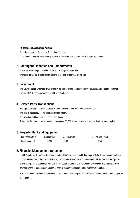#### **(f) Changes in Accounting Policies.**

There have been no Changes in Accounting Policies.

All accounting policies have been applied on a consistent basis with those of the previous period.

## **2. Contingent Liabilities and Commitments**

There are no contingent liabilities at the end of the year. (2008: Nil) There are no capital or other commitments at the end of the year (2008: Nil)

## **3. Investment**

The Council has an undivided 1/5th share in the issued share cap[ital of Health Regulatory Authorities Secretariat Limited (HRAS). The consideration of \$20 is not yet paid.

## **4. Related Party Transactions**

HRAS provides administrative services to the Council on a non-profit cost recovery basis.

The cost of those services for the period was \$22314.

The five shareholding boards in Health Regulatory

Authorities Secretariat Limited have each advanced \$5,000 to that company to provide it with working capital.

## **5. Property Plant and Equipment**

| Fixed Assets 2009 | <b>Original Cost</b> | Accum. Depn | <b>Closing Book Value</b> |
|-------------------|----------------------|-------------|---------------------------|
| Office Equipment  | 9701                 | 3329        | 6372                      |

## **6. Financial Management Agreement**

Health Regulatory Authorities Secretariat Limited (HRAS) has been established to provide business management support to the New Zealand Chiropractic Board, the Dietitians Board, the Podiatrists Board of New Zealand, the Optometrists & Dispensing Opticians Board and the Osteopathic Council of New Zealand (collectively 'the entities'). HRAS provides financial management support to each of the entities according to a number of conditions:

1. Each of the entities holds an undivided share in HRAS; that company was formed to provide management support to those entities.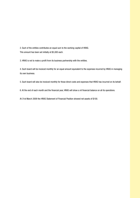2. Each of the entities contributes an equal sum to the working capital of HRAS. This amount has been set initially at \$5,000 each.

3. HRAS is not to make a profit from its business partnership with the entities.

4. Each board will be invoiced monthly for an equal amount equivalent to the expenses incurred by HRAS in managing its own business.

5. Each board will also be invoiced monthly for those direct costs and expenses that HRAS has incurred on its behalf.

6. At the end of each month and the financial year, HRAS will show a nil financial balance on all its operations.

At 31st March 2009 the HRAS Statement of Financial Position showed net assets of \$100.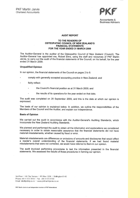

Accountants & **Business Advisers** 

## **AUDIT REPORT**

#### TO THE READERS OF **OSTEOPATHIC COUNCIL OF NEW ZEALAND'S FINANCIAL STATEMENTS** FOR THE YEAR ENDED 31 MARCH 2009

The Auditor-General is the auditor of the Osteopathic Council of New Zealand (Council). The Auditor-General has appointed me, Robert Elms, using the staff and resources of PKF Martin Jarvie, to carry out the audit of the financial statements of the Council, on his behalf, for the year ended 31 March 2009.

#### **Unqualified Opinion**

In our opinion, the financial statements of the Council on pages 2 to 6:

- comply with generally accepted accounting practice in New Zealand; and
- fairly reflect:
	- the Council's financial position as at 31 March 2009; and
	- the results of its operations for the year ended on that date.

The audit was completed on 28 September 2009, and this is the date at which our opinion is expressed.

The basis of our opinion is explained below. In addition, we outline the responsibilities of the Members of the Council and the Auditor, and explain our independence.

#### **Basis of Opinion**

We carried out the audit in accordance with the Auditor-General's Auditing Standards, which incorporate the New Zealand Auditing Standards.

We planned and performed the audit to obtain all the information and explanations we considered necessary in order to obtain reasonable assurance that the financial statements did not have material misstatements, whether caused by fraud or error.

Material misstatements are differences or omissions of amounts and disclosures that would affect a reader's overall understanding of the financial statements. If we had found material misstatements that were not corrected, we would have referred to them in our opinion.

The audit involved performing procedures to test the information presented in the financial statements. We assessed the results of those procedures in forming our opinion.

3rd Floor | 85 The Terrace | PO Box 1208 | Wellington 6140 Phone +64 4 472 7919 | Fax +64 4 473 4720 Email info@pkfmj.co.nz | www.pkfmartinjarvie.co.nz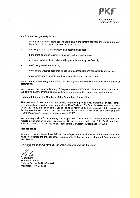

Accountants & **Business Advisers** 

Audit procedures generally include:

- determining whether significant financial and management controls are working and can be relied on to produce complete and accurate data;
- verifying samples of transactions and account balances;
- performing analyses to identify anomalies in the reported data;
- reviewing significant estimates and judgements made by the Council;
- confirming year-end balances;
- determining whether accounting policies are appropriate and consistently applied; and
- determining whether all financial statement disclosures are adequate.

We did not examine every transaction, nor do we guarantee complete accuracy of the financial statements.

We evaluated the overall adequacy of the presentation of information in the financial statements. We obtained all the information and explanations we required to support our opinion above.

#### Responsibilities of the Members of the Council and the Auditor

The Members of the Council are responsible for preparing the financial statements in accordance with generally accepted accounting practice in New Zealand. The financial statements must fairly reflect the financial position of the Council as at 31 March 2009 and the results of its operations for the year ended on that date. The Members of the Council's responsibilities arise from the Health Practitioners Competence Assurance Act 2003.

We are responsible for expressing an independent opinion on the financial statements and reporting that opinion to you. This responsibility arises from section 15 of the Public Audit Act 2001 and section 134(1) of the Health Practitioners Competence Assurance Act 2003.

#### Independence

When carrying out the audit we followed the independence requirements of the Auditor-General, which incorporate the independence requirements of the Institute of Chartered Accountants of New Zealand.

Other than the audit, we have no relationship with or interests in the Council.

Robert Elms **PKF Martin Jarvie** On behalf of the Auditor-General Wellington, New Zealand